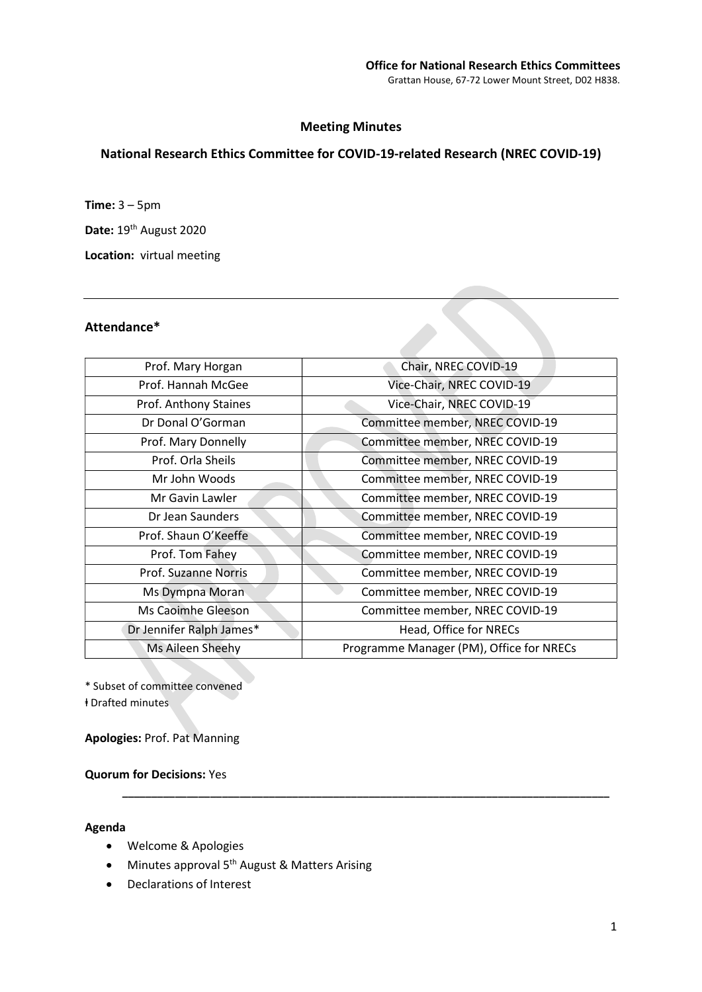# Meeting Minutes

# National Research Ethics Committee for COVID-19-related Research (NREC COVID-19)

Time: 3 – 5pm

Date: 19<sup>th</sup> August 2020

Location: virtual meeting

## Attendance\*

| Prof. Mary Horgan        | Chair, NREC COVID-19                     |
|--------------------------|------------------------------------------|
| Prof. Hannah McGee       | Vice-Chair, NREC COVID-19                |
| Prof. Anthony Staines    | Vice-Chair, NREC COVID-19                |
| Dr Donal O'Gorman        | Committee member, NREC COVID-19          |
| Prof. Mary Donnelly      | Committee member, NREC COVID-19          |
| Prof. Orla Sheils        | Committee member, NREC COVID-19          |
| Mr John Woods            | Committee member, NREC COVID-19          |
| Mr Gavin Lawler          | Committee member, NREC COVID-19          |
| Dr Jean Saunders         | Committee member, NREC COVID-19          |
| Prof. Shaun O'Keeffe     | Committee member, NREC COVID-19          |
| Prof. Tom Fahey          | Committee member, NREC COVID-19          |
| Prof. Suzanne Norris     | Committee member, NREC COVID-19          |
| Ms Dympna Moran          | Committee member, NREC COVID-19          |
| Ms Caoimhe Gleeson       | Committee member, NREC COVID-19          |
| Dr Jennifer Ralph James* | Head, Office for NRECs                   |
| Ms Aileen Sheehy         | Programme Manager (PM), Office for NRECs |
|                          |                                          |

\_\_\_\_\_\_\_\_\_\_\_\_\_\_\_\_\_\_\_\_\_\_\_\_\_\_\_\_\_\_\_\_\_\_\_\_\_\_\_\_\_\_\_\_\_\_\_\_\_\_\_\_\_\_\_\_\_\_\_\_\_\_\_\_\_\_\_\_\_\_\_\_\_\_\_\_\_\_\_\_\_\_\_

\* Subset of committee convened ⱡ Drafted minutes

Apologies: Prof. Pat Manning

Quorum for Decisions: Yes

#### Agenda

- Welcome & Apologies
- Minutes approval 5<sup>th</sup> August & Matters Arising
- Declarations of Interest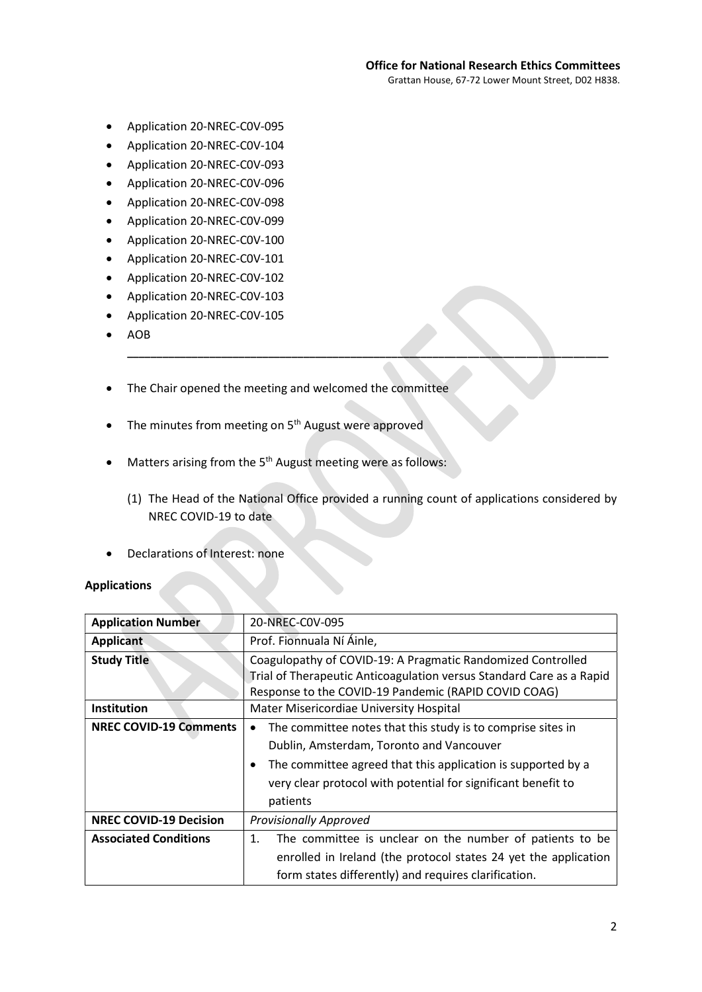- Application 20-NREC-C0V-095
- Application 20-NREC-C0V-104
- Application 20-NREC-C0V-093
- Application 20-NREC-C0V-096
- Application 20-NREC-C0V-098
- Application 20-NREC-C0V-099
- Application 20-NREC-C0V-100
- Application 20-NREC-C0V-101
- Application 20-NREC-C0V-102
- Application 20-NREC-C0V-103
- Application 20-NREC-C0V-105
- $\bullet$  AOB
- The Chair opened the meeting and welcomed the committee
- $\bullet$  The minutes from meeting on 5<sup>th</sup> August were approved
- $\bullet$  Matters arising from the 5<sup>th</sup> August meeting were as follows:
	- (1) The Head of the National Office provided a running count of applications considered by NREC COVID-19 to date

\_\_\_\_\_\_\_\_\_\_\_\_\_\_\_\_\_\_\_\_\_\_\_\_\_\_\_\_\_\_\_\_\_\_\_\_\_\_\_\_\_\_\_\_\_\_\_\_\_\_\_\_\_\_\_\_\_\_\_\_\_\_\_\_\_\_\_\_\_\_\_\_\_\_\_\_\_\_\_\_\_\_

Declarations of Interest: none

## Applications

| <b>Application Number</b>     | 20-NREC-C0V-095                                                                                                                                                                                                                                                        |
|-------------------------------|------------------------------------------------------------------------------------------------------------------------------------------------------------------------------------------------------------------------------------------------------------------------|
| <b>Applicant</b>              | Prof. Fionnuala Ní Áinle,                                                                                                                                                                                                                                              |
| <b>Study Title</b>            | Coagulopathy of COVID-19: A Pragmatic Randomized Controlled<br>Trial of Therapeutic Anticoagulation versus Standard Care as a Rapid<br>Response to the COVID-19 Pandemic (RAPID COVID COAG)                                                                            |
| Institution                   | Mater Misericordiae University Hospital                                                                                                                                                                                                                                |
| <b>NREC COVID-19 Comments</b> | The committee notes that this study is to comprise sites in<br>$\bullet$<br>Dublin, Amsterdam, Toronto and Vancouver<br>The committee agreed that this application is supported by a<br>٠<br>very clear protocol with potential for significant benefit to<br>patients |
| <b>NREC COVID-19 Decision</b> | <b>Provisionally Approved</b>                                                                                                                                                                                                                                          |
| <b>Associated Conditions</b>  | The committee is unclear on the number of patients to be<br>1.<br>enrolled in Ireland (the protocol states 24 yet the application<br>form states differently) and requires clarification.                                                                              |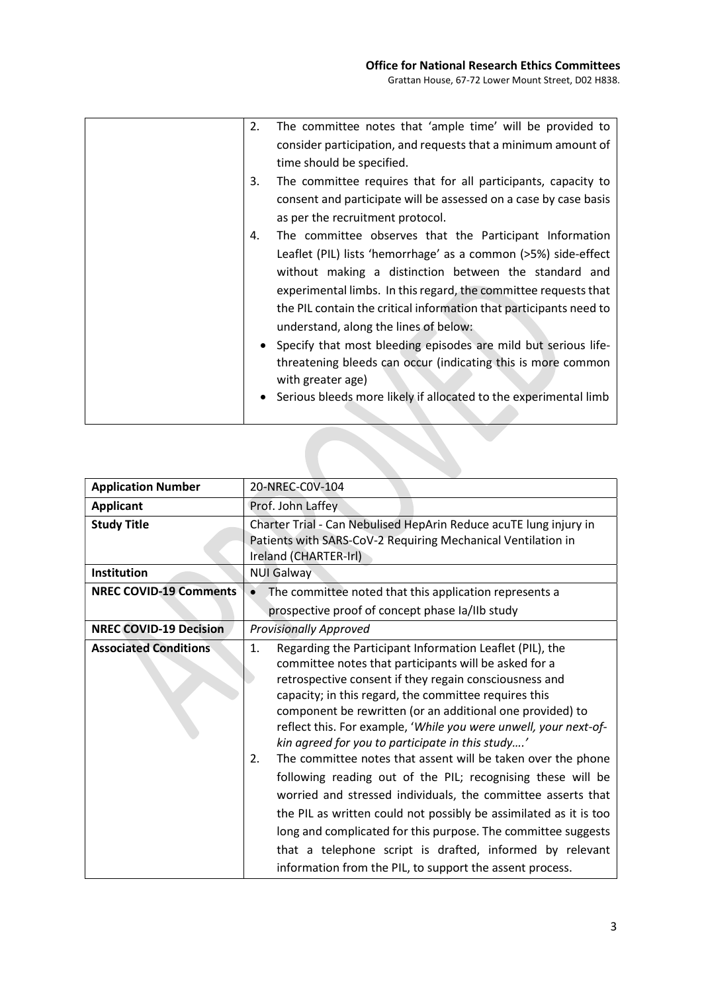| 2. | The committee notes that 'ample time' will be provided to          |
|----|--------------------------------------------------------------------|
|    | consider participation, and requests that a minimum amount of      |
|    | time should be specified.                                          |
| 3. | The committee requires that for all participants, capacity to      |
|    | consent and participate will be assessed on a case by case basis   |
|    | as per the recruitment protocol.                                   |
| 4. | The committee observes that the Participant Information            |
|    | Leaflet (PIL) lists 'hemorrhage' as a common (>5%) side-effect     |
|    | without making a distinction between the standard and              |
|    | experimental limbs. In this regard, the committee requests that    |
|    | the PIL contain the critical information that participants need to |
|    | understand, along the lines of below:                              |
|    | • Specify that most bleeding episodes are mild but serious life-   |
|    | threatening bleeds can occur (indicating this is more common       |
|    | with greater age)                                                  |
|    | • Serious bleeds more likely if allocated to the experimental limb |
|    |                                                                    |

| <b>Application Number</b>     | 20-NREC-C0V-104                                                                                                                                                                                                                                                                                                                                                                                                                                                                                                                                                                                                                                                                                                                                                                                                                                                                                    |
|-------------------------------|----------------------------------------------------------------------------------------------------------------------------------------------------------------------------------------------------------------------------------------------------------------------------------------------------------------------------------------------------------------------------------------------------------------------------------------------------------------------------------------------------------------------------------------------------------------------------------------------------------------------------------------------------------------------------------------------------------------------------------------------------------------------------------------------------------------------------------------------------------------------------------------------------|
| <b>Applicant</b>              | Prof. John Laffey                                                                                                                                                                                                                                                                                                                                                                                                                                                                                                                                                                                                                                                                                                                                                                                                                                                                                  |
| <b>Study Title</b>            | Charter Trial - Can Nebulised HepArin Reduce acuTE lung injury in<br>Patients with SARS-CoV-2 Requiring Mechanical Ventilation in<br>Ireland (CHARTER-Irl)                                                                                                                                                                                                                                                                                                                                                                                                                                                                                                                                                                                                                                                                                                                                         |
| <b>Institution</b>            | <b>NUI Galway</b>                                                                                                                                                                                                                                                                                                                                                                                                                                                                                                                                                                                                                                                                                                                                                                                                                                                                                  |
| <b>NREC COVID-19 Comments</b> | The committee noted that this application represents a                                                                                                                                                                                                                                                                                                                                                                                                                                                                                                                                                                                                                                                                                                                                                                                                                                             |
|                               | prospective proof of concept phase Ia/IIb study                                                                                                                                                                                                                                                                                                                                                                                                                                                                                                                                                                                                                                                                                                                                                                                                                                                    |
| <b>NREC COVID-19 Decision</b> | <b>Provisionally Approved</b>                                                                                                                                                                                                                                                                                                                                                                                                                                                                                                                                                                                                                                                                                                                                                                                                                                                                      |
| <b>Associated Conditions</b>  | Regarding the Participant Information Leaflet (PIL), the<br>1.<br>committee notes that participants will be asked for a<br>retrospective consent if they regain consciousness and<br>capacity; in this regard, the committee requires this<br>component be rewritten (or an additional one provided) to<br>reflect this. For example, 'While you were unwell, your next-of-<br>kin agreed for you to participate in this study'<br>The committee notes that assent will be taken over the phone<br>2.<br>following reading out of the PIL; recognising these will be<br>worried and stressed individuals, the committee asserts that<br>the PIL as written could not possibly be assimilated as it is too<br>long and complicated for this purpose. The committee suggests<br>that a telephone script is drafted, informed by relevant<br>information from the PIL, to support the assent process. |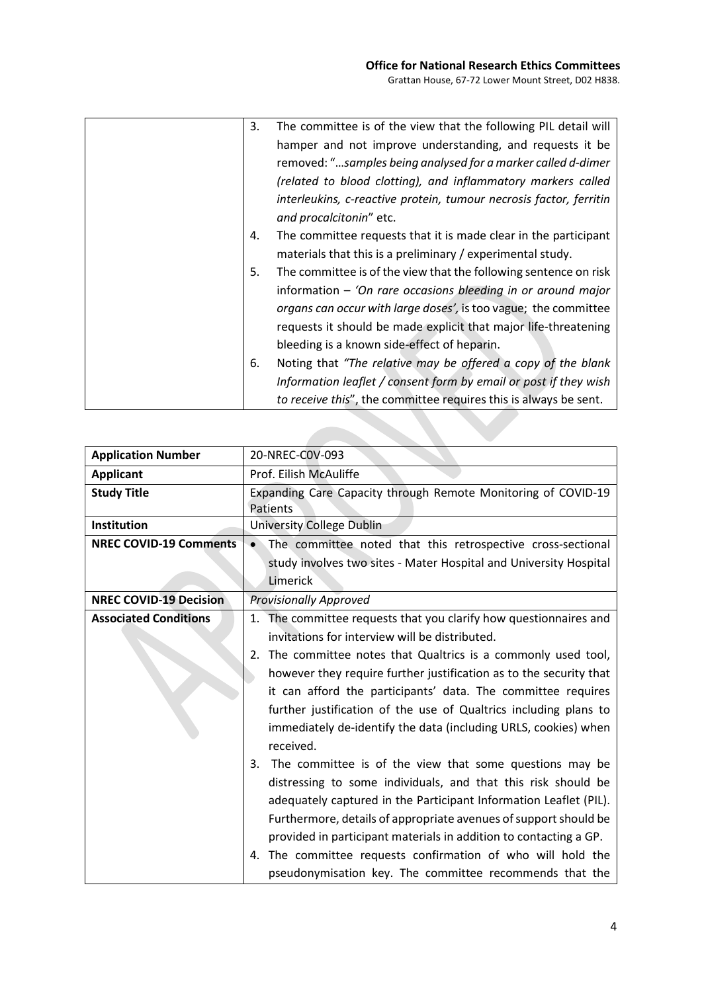| 3. | The committee is of the view that the following PIL detail will    |
|----|--------------------------------------------------------------------|
|    | hamper and not improve understanding, and requests it be           |
|    | removed: "samples being analysed for a marker called d-dimer       |
|    | (related to blood clotting), and inflammatory markers called       |
|    | interleukins, c-reactive protein, tumour necrosis factor, ferritin |
|    | and procalcitonin" etc.                                            |
| 4. | The committee requests that it is made clear in the participant    |
|    | materials that this is a preliminary / experimental study.         |
| 5. | The committee is of the view that the following sentence on risk   |
|    | information $-$ 'On rare occasions bleeding in or around major     |
|    | organs can occur with large doses', is too vague; the committee    |
|    | requests it should be made explicit that major life-threatening    |
|    | bleeding is a known side-effect of heparin.                        |
| 6. | Noting that "The relative may be offered a copy of the blank       |
|    | Information leaflet / consent form by email or post if they wish   |
|    | to receive this", the committee requires this is always be sent.   |

**Contract Contract** 

| <b>Application Number</b>     | 20-NREC-COV-093                                                                  |
|-------------------------------|----------------------------------------------------------------------------------|
| <b>Applicant</b>              | Prof. Eilish McAuliffe                                                           |
| <b>Study Title</b>            | Expanding Care Capacity through Remote Monitoring of COVID-19<br><b>Patients</b> |
| Institution                   | University College Dublin                                                        |
| <b>NREC COVID-19 Comments</b> | The committee noted that this retrospective cross-sectional                      |
|                               | study involves two sites - Mater Hospital and University Hospital                |
|                               | Limerick                                                                         |
| <b>NREC COVID-19 Decision</b> | <b>Provisionally Approved</b>                                                    |
| <b>Associated Conditions</b>  | 1. The committee requests that you clarify how questionnaires and                |
|                               | invitations for interview will be distributed.                                   |
|                               | The committee notes that Qualtrics is a commonly used tool,<br>2.                |
|                               | however they require further justification as to the security that               |
|                               | it can afford the participants' data. The committee requires                     |
|                               | further justification of the use of Qualtrics including plans to                 |
|                               | immediately de-identify the data (including URLS, cookies) when                  |
|                               | received.                                                                        |
|                               | The committee is of the view that some questions may be<br>3.                    |
|                               | distressing to some individuals, and that this risk should be                    |
|                               | adequately captured in the Participant Information Leaflet (PIL).                |
|                               | Furthermore, details of appropriate avenues of support should be                 |
|                               | provided in participant materials in addition to contacting a GP.                |
|                               | 4. The committee requests confirmation of who will hold the                      |
|                               | pseudonymisation key. The committee recommends that the                          |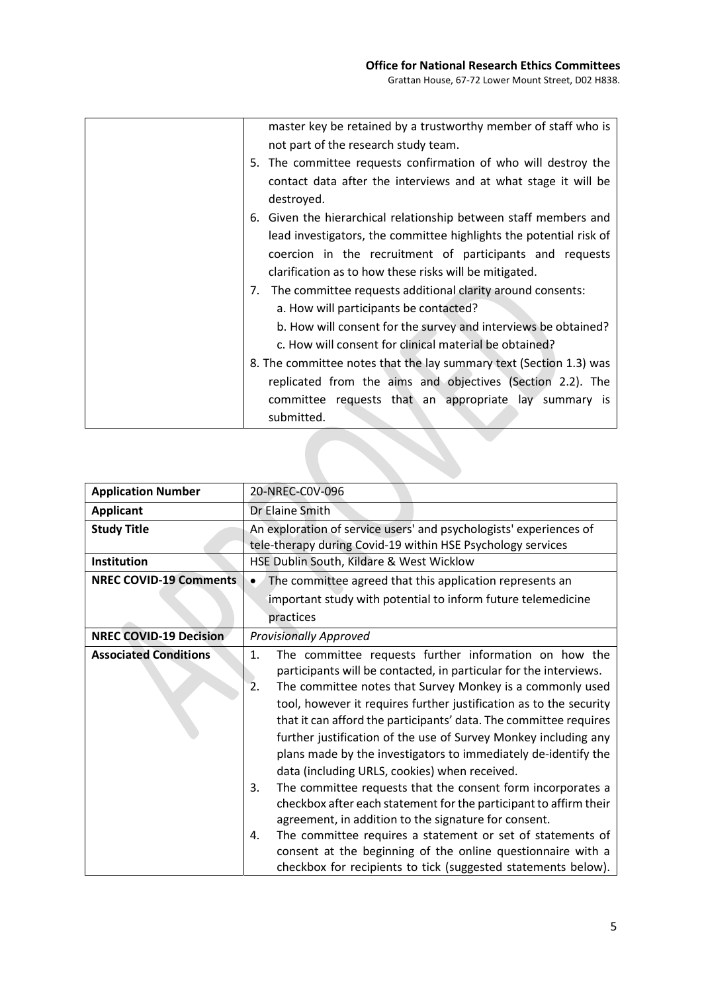| master key be retained by a trustworthy member of staff who is     |
|--------------------------------------------------------------------|
| not part of the research study team.                               |
| 5. The committee requests confirmation of who will destroy the     |
| contact data after the interviews and at what stage it will be     |
| destroyed.                                                         |
| 6. Given the hierarchical relationship between staff members and   |
| lead investigators, the committee highlights the potential risk of |
| coercion in the recruitment of participants and requests           |
| clarification as to how these risks will be mitigated.             |
| 7. The committee requests additional clarity around consents:      |
| a. How will participants be contacted?                             |
| b. How will consent for the survey and interviews be obtained?     |
| c. How will consent for clinical material be obtained?             |
| 8. The committee notes that the lay summary text (Section 1.3) was |
| replicated from the aims and objectives (Section 2.2). The         |
| committee requests that an appropriate lay summary is              |
| submitted.                                                         |

| <b>Application Number</b>     | 20-NREC-COV-096                                                                                                                                                                                                                                                                                                                                                                                                                                                                                                                                                                                                                                                                                                                                                                                                                                                                                                                                          |
|-------------------------------|----------------------------------------------------------------------------------------------------------------------------------------------------------------------------------------------------------------------------------------------------------------------------------------------------------------------------------------------------------------------------------------------------------------------------------------------------------------------------------------------------------------------------------------------------------------------------------------------------------------------------------------------------------------------------------------------------------------------------------------------------------------------------------------------------------------------------------------------------------------------------------------------------------------------------------------------------------|
| <b>Applicant</b>              | Dr Elaine Smith                                                                                                                                                                                                                                                                                                                                                                                                                                                                                                                                                                                                                                                                                                                                                                                                                                                                                                                                          |
| <b>Study Title</b>            | An exploration of service users' and psychologists' experiences of<br>tele-therapy during Covid-19 within HSE Psychology services                                                                                                                                                                                                                                                                                                                                                                                                                                                                                                                                                                                                                                                                                                                                                                                                                        |
| Institution                   | HSE Dublin South, Kildare & West Wicklow                                                                                                                                                                                                                                                                                                                                                                                                                                                                                                                                                                                                                                                                                                                                                                                                                                                                                                                 |
| <b>NREC COVID-19 Comments</b> | The committee agreed that this application represents an<br>important study with potential to inform future telemedicine<br>practices                                                                                                                                                                                                                                                                                                                                                                                                                                                                                                                                                                                                                                                                                                                                                                                                                    |
|                               |                                                                                                                                                                                                                                                                                                                                                                                                                                                                                                                                                                                                                                                                                                                                                                                                                                                                                                                                                          |
| <b>NREC COVID-19 Decision</b> | <b>Provisionally Approved</b>                                                                                                                                                                                                                                                                                                                                                                                                                                                                                                                                                                                                                                                                                                                                                                                                                                                                                                                            |
| <b>Associated Conditions</b>  | 1.<br>The committee requests further information on how the<br>participants will be contacted, in particular for the interviews.<br>The committee notes that Survey Monkey is a commonly used<br>$\overline{2}$ .<br>tool, however it requires further justification as to the security<br>that it can afford the participants' data. The committee requires<br>further justification of the use of Survey Monkey including any<br>plans made by the investigators to immediately de-identify the<br>data (including URLS, cookies) when received.<br>The committee requests that the consent form incorporates a<br>3.<br>checkbox after each statement for the participant to affirm their<br>agreement, in addition to the signature for consent.<br>The committee requires a statement or set of statements of<br>4.<br>consent at the beginning of the online questionnaire with a<br>checkbox for recipients to tick (suggested statements below). |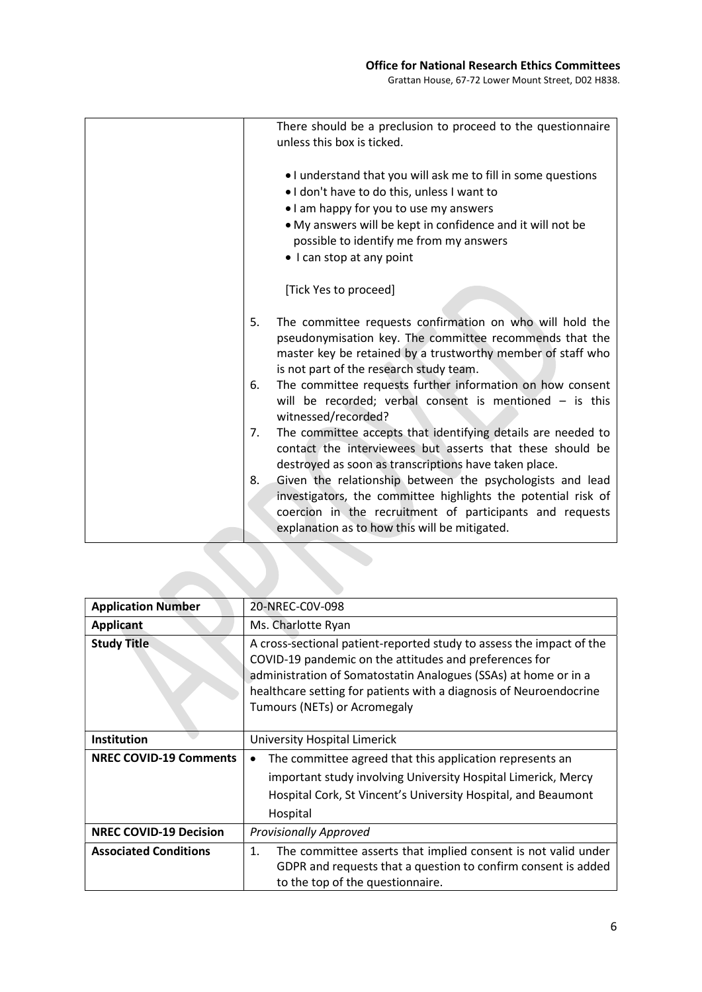Grattan House, 67-72 Lower Mount Street, D02 H838.

|    | There should be a preclusion to proceed to the questionnaire<br>unless this box is ticked.                                                                                                                                                                                                   |
|----|----------------------------------------------------------------------------------------------------------------------------------------------------------------------------------------------------------------------------------------------------------------------------------------------|
|    | . I understand that you will ask me to fill in some questions<br>. I don't have to do this, unless I want to<br>• I am happy for you to use my answers<br>• My answers will be kept in confidence and it will not be<br>possible to identify me from my answers<br>• I can stop at any point |
|    | [Tick Yes to proceed]                                                                                                                                                                                                                                                                        |
| 5. | The committee requests confirmation on who will hold the<br>pseudonymisation key. The committee recommends that the<br>master key be retained by a trustworthy member of staff who<br>is not part of the research study team.                                                                |
| 6. | The committee requests further information on how consent<br>will be recorded; verbal consent is mentioned $-$ is this<br>witnessed/recorded?                                                                                                                                                |
| 7. | The committee accepts that identifying details are needed to<br>contact the interviewees but asserts that these should be<br>destroyed as soon as transcriptions have taken place.                                                                                                           |
| 8. | Given the relationship between the psychologists and lead<br>investigators, the committee highlights the potential risk of<br>coercion in the recruitment of participants and requests<br>explanation as to how this will be mitigated.                                                      |
|    |                                                                                                                                                                                                                                                                                              |

| <b>Application Number</b>     | 20-NREC-C0V-098                                                                                                                                                                                                                                                                                         |
|-------------------------------|---------------------------------------------------------------------------------------------------------------------------------------------------------------------------------------------------------------------------------------------------------------------------------------------------------|
| <b>Applicant</b>              | Ms. Charlotte Ryan                                                                                                                                                                                                                                                                                      |
| <b>Study Title</b>            | A cross-sectional patient-reported study to assess the impact of the<br>COVID-19 pandemic on the attitudes and preferences for<br>administration of Somatostatin Analogues (SSAs) at home or in a<br>healthcare setting for patients with a diagnosis of Neuroendocrine<br>Tumours (NETs) or Acromegaly |
| Institution                   | University Hospital Limerick                                                                                                                                                                                                                                                                            |
| <b>NREC COVID-19 Comments</b> | The committee agreed that this application represents an<br>important study involving University Hospital Limerick, Mercy<br>Hospital Cork, St Vincent's University Hospital, and Beaumont<br>Hospital                                                                                                  |
| <b>NREC COVID-19 Decision</b> | <b>Provisionally Approved</b>                                                                                                                                                                                                                                                                           |
| <b>Associated Conditions</b>  | The committee asserts that implied consent is not valid under<br>1.<br>GDPR and requests that a question to confirm consent is added<br>to the top of the questionnaire.                                                                                                                                |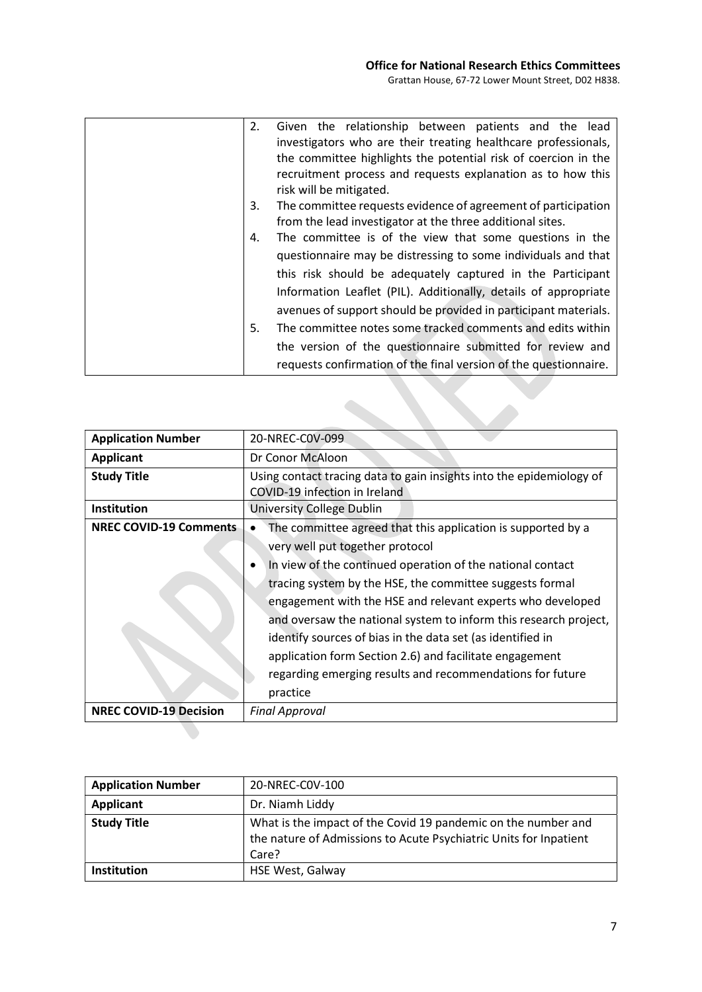| 2. | Given the relationship between patients and the lead             |
|----|------------------------------------------------------------------|
|    | investigators who are their treating healthcare professionals,   |
|    | the committee highlights the potential risk of coercion in the   |
|    | recruitment process and requests explanation as to how this      |
|    | risk will be mitigated.                                          |
| 3. | The committee requests evidence of agreement of participation    |
|    | from the lead investigator at the three additional sites.        |
| 4. | The committee is of the view that some questions in the          |
|    | questionnaire may be distressing to some individuals and that    |
|    | this risk should be adequately captured in the Participant       |
|    |                                                                  |
|    | Information Leaflet (PIL). Additionally, details of appropriate  |
|    | avenues of support should be provided in participant materials.  |
| 5. | The committee notes some tracked comments and edits within       |
|    | the version of the questionnaire submitted for review and        |
|    | requests confirmation of the final version of the questionnaire. |
|    |                                                                  |
|    |                                                                  |
|    |                                                                  |

| <b>Application Number</b>     | 20-NREC-C0V-099                                                                                                                                                                                                                                                                                                                                                                                                                                                                                                                                               |
|-------------------------------|---------------------------------------------------------------------------------------------------------------------------------------------------------------------------------------------------------------------------------------------------------------------------------------------------------------------------------------------------------------------------------------------------------------------------------------------------------------------------------------------------------------------------------------------------------------|
| <b>Applicant</b>              | Dr Conor McAloon                                                                                                                                                                                                                                                                                                                                                                                                                                                                                                                                              |
| <b>Study Title</b>            | Using contact tracing data to gain insights into the epidemiology of<br>COVID-19 infection in Ireland                                                                                                                                                                                                                                                                                                                                                                                                                                                         |
| Institution                   | University College Dublin                                                                                                                                                                                                                                                                                                                                                                                                                                                                                                                                     |
| <b>NREC COVID-19 Comments</b> | The committee agreed that this application is supported by a<br>very well put together protocol<br>In view of the continued operation of the national contact<br>tracing system by the HSE, the committee suggests formal<br>engagement with the HSE and relevant experts who developed<br>and oversaw the national system to inform this research project,<br>identify sources of bias in the data set (as identified in<br>application form Section 2.6) and facilitate engagement<br>regarding emerging results and recommendations for future<br>practice |
| <b>NREC COVID-19 Decision</b> | <b>Final Approval</b>                                                                                                                                                                                                                                                                                                                                                                                                                                                                                                                                         |
|                               |                                                                                                                                                                                                                                                                                                                                                                                                                                                                                                                                                               |

| <b>Application Number</b> | 20-NREC-C0V-100                                                                                                                             |
|---------------------------|---------------------------------------------------------------------------------------------------------------------------------------------|
| Applicant                 | Dr. Niamh Liddy                                                                                                                             |
| <b>Study Title</b>        | What is the impact of the Covid 19 pandemic on the number and<br>the nature of Admissions to Acute Psychiatric Units for Inpatient<br>Care? |
| Institution               | <b>HSE West, Galway</b>                                                                                                                     |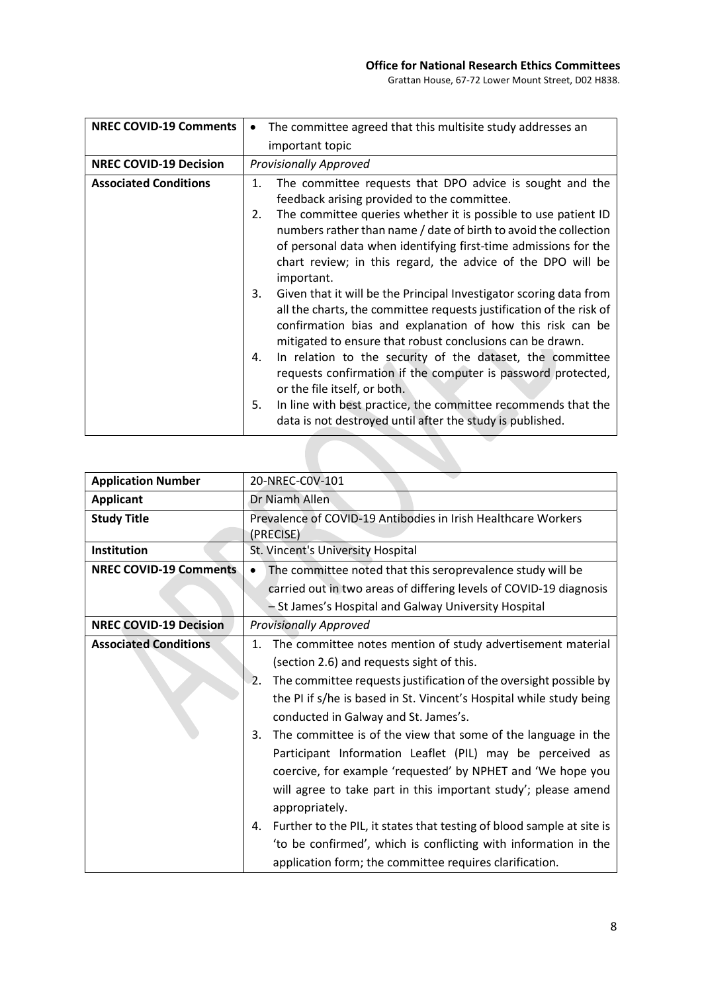# Office for National Research Ethics Committees

Grattan House, 67-72 Lower Mount Street, D02 H838.

| <b>NREC COVID-19 Comments</b> | The committee agreed that this multisite study addresses an                                                                                                                                                                                                                              |
|-------------------------------|------------------------------------------------------------------------------------------------------------------------------------------------------------------------------------------------------------------------------------------------------------------------------------------|
|                               | important topic                                                                                                                                                                                                                                                                          |
| <b>NREC COVID-19 Decision</b> | <b>Provisionally Approved</b>                                                                                                                                                                                                                                                            |
| <b>Associated Conditions</b>  | The committee requests that DPO advice is sought and the<br>1.<br>feedback arising provided to the committee.                                                                                                                                                                            |
|                               | The committee queries whether it is possible to use patient ID<br>2.<br>numbers rather than name / date of birth to avoid the collection<br>of personal data when identifying first-time admissions for the<br>chart review; in this regard, the advice of the DPO will be<br>important. |
|                               | Given that it will be the Principal Investigator scoring data from<br>3.<br>all the charts, the committee requests justification of the risk of<br>confirmation bias and explanation of how this risk can be<br>mitigated to ensure that robust conclusions can be drawn.                |
|                               | In relation to the security of the dataset, the committee<br>4.<br>requests confirmation if the computer is password protected,<br>or the file itself, or both.                                                                                                                          |
|                               | 5.<br>In line with best practice, the committee recommends that the<br>data is not destroyed until after the study is published.                                                                                                                                                         |

| <b>Application Number</b>     | 20-NREC-COV-101                                                                                                                                                                                                                                                                                                                                                                                                                                                                                                                                                                                                                                                                                                                                                                                              |
|-------------------------------|--------------------------------------------------------------------------------------------------------------------------------------------------------------------------------------------------------------------------------------------------------------------------------------------------------------------------------------------------------------------------------------------------------------------------------------------------------------------------------------------------------------------------------------------------------------------------------------------------------------------------------------------------------------------------------------------------------------------------------------------------------------------------------------------------------------|
| <b>Applicant</b>              | Dr Niamh Allen                                                                                                                                                                                                                                                                                                                                                                                                                                                                                                                                                                                                                                                                                                                                                                                               |
| <b>Study Title</b>            | Prevalence of COVID-19 Antibodies in Irish Healthcare Workers<br>(PRECISE)                                                                                                                                                                                                                                                                                                                                                                                                                                                                                                                                                                                                                                                                                                                                   |
| Institution                   | St. Vincent's University Hospital                                                                                                                                                                                                                                                                                                                                                                                                                                                                                                                                                                                                                                                                                                                                                                            |
| <b>NREC COVID-19 Comments</b> | The committee noted that this seroprevalence study will be                                                                                                                                                                                                                                                                                                                                                                                                                                                                                                                                                                                                                                                                                                                                                   |
|                               | carried out in two areas of differing levels of COVID-19 diagnosis                                                                                                                                                                                                                                                                                                                                                                                                                                                                                                                                                                                                                                                                                                                                           |
|                               | - St James's Hospital and Galway University Hospital                                                                                                                                                                                                                                                                                                                                                                                                                                                                                                                                                                                                                                                                                                                                                         |
| <b>NREC COVID-19 Decision</b> | <b>Provisionally Approved</b>                                                                                                                                                                                                                                                                                                                                                                                                                                                                                                                                                                                                                                                                                                                                                                                |
| <b>Associated Conditions</b>  | The committee notes mention of study advertisement material<br>1.<br>(section 2.6) and requests sight of this.<br>The committee requests justification of the oversight possible by<br>2.<br>the PI if s/he is based in St. Vincent's Hospital while study being<br>conducted in Galway and St. James's.<br>The committee is of the view that some of the language in the<br>3.<br>Participant Information Leaflet (PIL) may be perceived as<br>coercive, for example 'requested' by NPHET and 'We hope you<br>will agree to take part in this important study'; please amend<br>appropriately.<br>Further to the PIL, it states that testing of blood sample at site is<br>4.<br>'to be confirmed', which is conflicting with information in the<br>application form; the committee requires clarification. |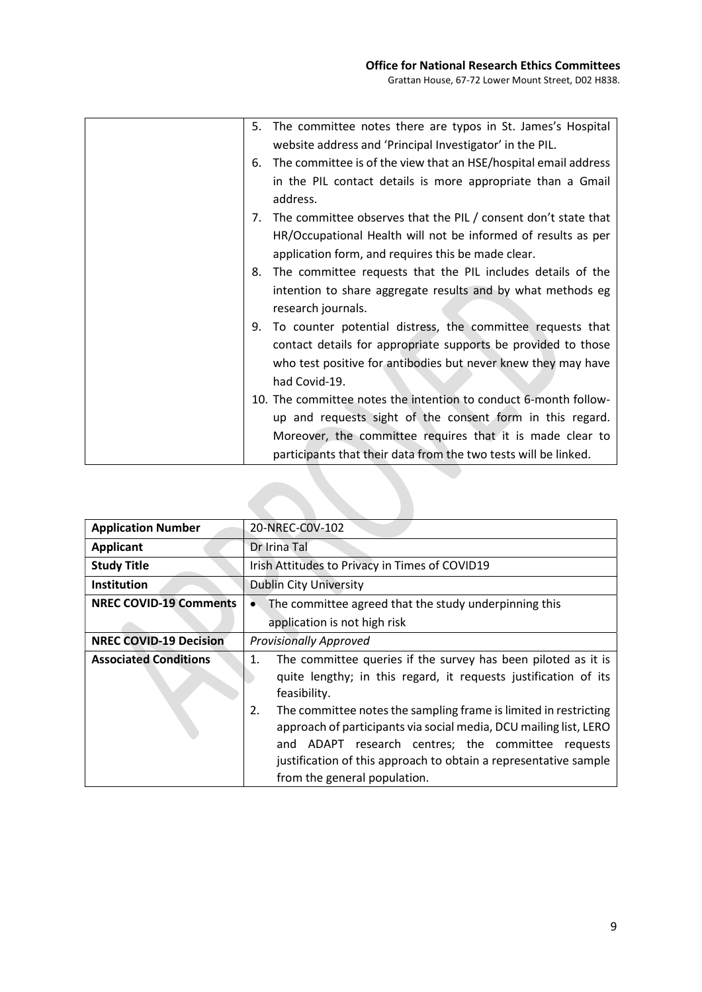| 5. | The committee notes there are typos in St. James's Hospital      |
|----|------------------------------------------------------------------|
|    | website address and 'Principal Investigator' in the PIL.         |
| 6. | The committee is of the view that an HSE/hospital email address  |
|    | in the PIL contact details is more appropriate than a Gmail      |
|    | address.                                                         |
| 7. | The committee observes that the PIL / consent don't state that   |
|    | HR/Occupational Health will not be informed of results as per    |
|    | application form, and requires this be made clear.               |
| 8. | The committee requests that the PIL includes details of the      |
|    | intention to share aggregate results and by what methods eg      |
|    | research journals.                                               |
| 9. | To counter potential distress, the committee requests that       |
|    | contact details for appropriate supports be provided to those    |
|    | who test positive for antibodies but never knew they may have    |
|    | had Covid-19.                                                    |
|    | 10. The committee notes the intention to conduct 6-month follow- |
|    | up and requests sight of the consent form in this regard.        |
|    | Moreover, the committee requires that it is made clear to        |
|    | participants that their data from the two tests will be linked.  |

| <b>Application Number</b>     | 20-NREC-COV-102                                                                                                                                                                                                                                                                                                                                                                                                                                                    |
|-------------------------------|--------------------------------------------------------------------------------------------------------------------------------------------------------------------------------------------------------------------------------------------------------------------------------------------------------------------------------------------------------------------------------------------------------------------------------------------------------------------|
| <b>Applicant</b>              | Dr Irina Tal                                                                                                                                                                                                                                                                                                                                                                                                                                                       |
| <b>Study Title</b>            | Irish Attitudes to Privacy in Times of COVID19                                                                                                                                                                                                                                                                                                                                                                                                                     |
| <b>Institution</b>            | <b>Dublin City University</b>                                                                                                                                                                                                                                                                                                                                                                                                                                      |
| <b>NREC COVID-19 Comments</b> | The committee agreed that the study underpinning this                                                                                                                                                                                                                                                                                                                                                                                                              |
|                               | application is not high risk                                                                                                                                                                                                                                                                                                                                                                                                                                       |
| <b>NREC COVID-19 Decision</b> | <b>Provisionally Approved</b>                                                                                                                                                                                                                                                                                                                                                                                                                                      |
| <b>Associated Conditions</b>  | The committee queries if the survey has been piloted as it is<br>1.<br>quite lengthy; in this regard, it requests justification of its<br>feasibility.<br>2.<br>The committee notes the sampling frame is limited in restricting<br>approach of participants via social media, DCU mailing list, LERO<br>ADAPT research centres; the committee requests<br>and<br>justification of this approach to obtain a representative sample<br>from the general population. |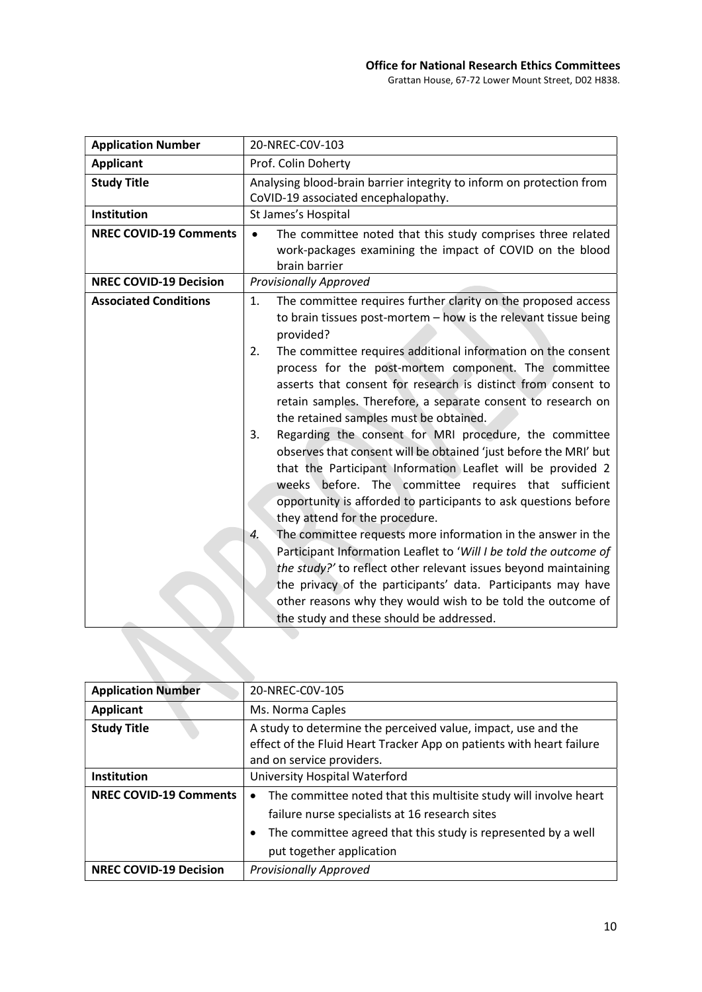| <b>Application Number</b>     | 20-NREC-C0V-103                                                                                                                                                                                                                                                                                                                                                                                                                                                                                                                                                                                                                                                                                                                                                                                                                                                                                                                                                                                                                                                                                                                                                                                                       |
|-------------------------------|-----------------------------------------------------------------------------------------------------------------------------------------------------------------------------------------------------------------------------------------------------------------------------------------------------------------------------------------------------------------------------------------------------------------------------------------------------------------------------------------------------------------------------------------------------------------------------------------------------------------------------------------------------------------------------------------------------------------------------------------------------------------------------------------------------------------------------------------------------------------------------------------------------------------------------------------------------------------------------------------------------------------------------------------------------------------------------------------------------------------------------------------------------------------------------------------------------------------------|
| <b>Applicant</b>              | Prof. Colin Doherty                                                                                                                                                                                                                                                                                                                                                                                                                                                                                                                                                                                                                                                                                                                                                                                                                                                                                                                                                                                                                                                                                                                                                                                                   |
| <b>Study Title</b>            | Analysing blood-brain barrier integrity to inform on protection from<br>CoVID-19 associated encephalopathy.                                                                                                                                                                                                                                                                                                                                                                                                                                                                                                                                                                                                                                                                                                                                                                                                                                                                                                                                                                                                                                                                                                           |
| Institution                   | St James's Hospital                                                                                                                                                                                                                                                                                                                                                                                                                                                                                                                                                                                                                                                                                                                                                                                                                                                                                                                                                                                                                                                                                                                                                                                                   |
| <b>NREC COVID-19 Comments</b> | The committee noted that this study comprises three related<br>$\bullet$<br>work-packages examining the impact of COVID on the blood<br>brain barrier                                                                                                                                                                                                                                                                                                                                                                                                                                                                                                                                                                                                                                                                                                                                                                                                                                                                                                                                                                                                                                                                 |
| <b>NREC COVID-19 Decision</b> | <b>Provisionally Approved</b>                                                                                                                                                                                                                                                                                                                                                                                                                                                                                                                                                                                                                                                                                                                                                                                                                                                                                                                                                                                                                                                                                                                                                                                         |
| <b>Associated Conditions</b>  | The committee requires further clarity on the proposed access<br>1.<br>to brain tissues post-mortem - how is the relevant tissue being<br>provided?<br>The committee requires additional information on the consent<br>2.<br>process for the post-mortem component. The committee<br>asserts that consent for research is distinct from consent to<br>retain samples. Therefore, a separate consent to research on<br>the retained samples must be obtained.<br>Regarding the consent for MRI procedure, the committee<br>3.<br>observes that consent will be obtained 'just before the MRI' but<br>that the Participant Information Leaflet will be provided 2<br>weeks before. The committee requires that sufficient<br>opportunity is afforded to participants to ask questions before<br>they attend for the procedure.<br>The committee requests more information in the answer in the<br>4.<br>Participant Information Leaflet to 'Will I be told the outcome of<br>the study?' to reflect other relevant issues beyond maintaining<br>the privacy of the participants' data. Participants may have<br>other reasons why they would wish to be told the outcome of<br>the study and these should be addressed. |
|                               |                                                                                                                                                                                                                                                                                                                                                                                                                                                                                                                                                                                                                                                                                                                                                                                                                                                                                                                                                                                                                                                                                                                                                                                                                       |

| <b>Application Number</b>     | 20-NREC-COV-105                                                                                                                                                                                                                           |
|-------------------------------|-------------------------------------------------------------------------------------------------------------------------------------------------------------------------------------------------------------------------------------------|
| <b>Applicant</b>              | Ms. Norma Caples                                                                                                                                                                                                                          |
| <b>Study Title</b>            | A study to determine the perceived value, impact, use and the<br>effect of the Fluid Heart Tracker App on patients with heart failure<br>and on service providers.                                                                        |
| Institution                   | University Hospital Waterford                                                                                                                                                                                                             |
| <b>NREC COVID-19 Comments</b> | The committee noted that this multisite study will involve heart<br>$\bullet$<br>failure nurse specialists at 16 research sites<br>The committee agreed that this study is represented by a well<br>$\bullet$<br>put together application |
| <b>NREC COVID-19 Decision</b> | <b>Provisionally Approved</b>                                                                                                                                                                                                             |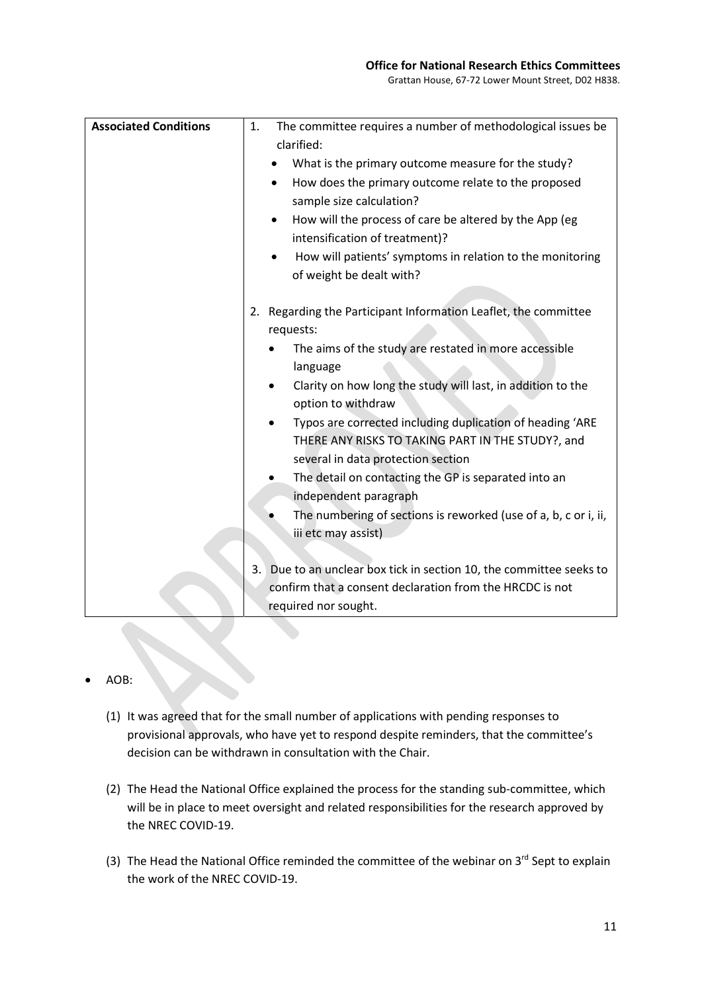Grattan House, 67-72 Lower Mount Street, D02 H838.

| <b>Associated Conditions</b> | The committee requires a number of methodological issues be<br>1.<br>clarified:<br>What is the primary outcome measure for the study?<br>How does the primary outcome relate to the proposed<br>٠<br>sample size calculation? |
|------------------------------|-------------------------------------------------------------------------------------------------------------------------------------------------------------------------------------------------------------------------------|
|                              | How will the process of care be altered by the App (eg<br>٠<br>intensification of treatment)?<br>How will patients' symptoms in relation to the monitoring<br>$\bullet$                                                       |
|                              | of weight be dealt with?                                                                                                                                                                                                      |
|                              | 2. Regarding the Participant Information Leaflet, the committee<br>requests:                                                                                                                                                  |
|                              | The aims of the study are restated in more accessible<br>language                                                                                                                                                             |
|                              | Clarity on how long the study will last, in addition to the<br>$\bullet$<br>option to withdraw                                                                                                                                |
|                              | Typos are corrected including duplication of heading 'ARE<br>$\bullet$<br>THERE ANY RISKS TO TAKING PART IN THE STUDY?, and<br>several in data protection section                                                             |
|                              | The detail on contacting the GP is separated into an<br>independent paragraph                                                                                                                                                 |
|                              | The numbering of sections is reworked (use of a, b, c or i, ii,<br>iii etc may assist)                                                                                                                                        |
|                              | Due to an unclear box tick in section 10, the committee seeks to<br>3.<br>confirm that a consent declaration from the HRCDC is not<br>required nor sought.                                                                    |

#### AOB:

- (1) It was agreed that for the small number of applications with pending responses to provisional approvals, who have yet to respond despite reminders, that the committee's decision can be withdrawn in consultation with the Chair.
- (2) The Head the National Office explained the process for the standing sub-committee, which will be in place to meet oversight and related responsibilities for the research approved by the NREC COVID-19.
- (3) The Head the National Office reminded the committee of the webinar on  $3^{rd}$  Sept to explain the work of the NREC COVID-19.